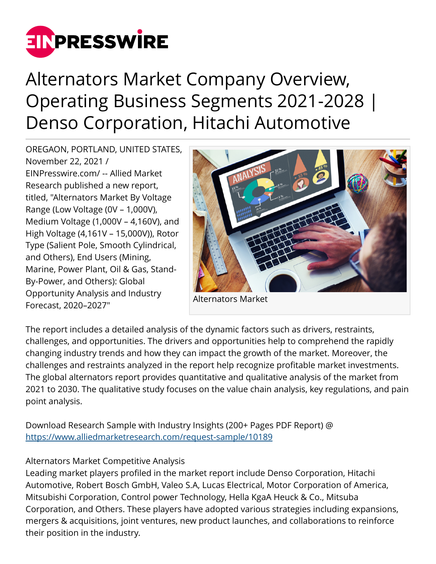

## Alternators Market Company Overview, Operating Business Segments 2021-2028 | Denso Corporation, Hitachi Automotive

OREGAON, PORTLAND, UNITED STATES, November 22, 2021 / [EINPresswire.com](http://www.einpresswire.com)/ -- Allied Market Research published a new report, titled, "Alternators Market By Voltage Range (Low Voltage (0V – 1,000V), Medium Voltage (1,000V – 4,160V), and High Voltage (4,161V – 15,000V)), Rotor Type (Salient Pole, Smooth Cylindrical, and Others), End Users (Mining, Marine, Power Plant, Oil & Gas, Stand-By-Power, and Others): Global Opportunity Analysis and Industry Forecast, 2020–2027"



Alternators Market

The report includes a detailed analysis of the dynamic factors such as drivers, restraints, challenges, and opportunities. The drivers and opportunities help to comprehend the rapidly changing industry trends and how they can impact the growth of the market. Moreover, the challenges and restraints analyzed in the report help recognize profitable market investments. The global alternators report provides quantitative and qualitative analysis of the market from 2021 to 2030. The qualitative study focuses on the value chain analysis, key regulations, and pain point analysis.

Download Research Sample with Industry Insights (200+ Pages PDF Report) @ <https://www.alliedmarketresearch.com/request-sample/10189>

## Alternators Market Competitive Analysis

Leading market players profiled in the market report include Denso Corporation, Hitachi Automotive, Robert Bosch GmbH, Valeo S.A, Lucas Electrical, Motor Corporation of America, Mitsubishi Corporation, Control power Technology, Hella KgaA Heuck & Co., Mitsuba Corporation, and Others. These players have adopted various strategies including expansions, mergers & acquisitions, joint ventures, new product launches, and collaborations to reinforce their position in the industry.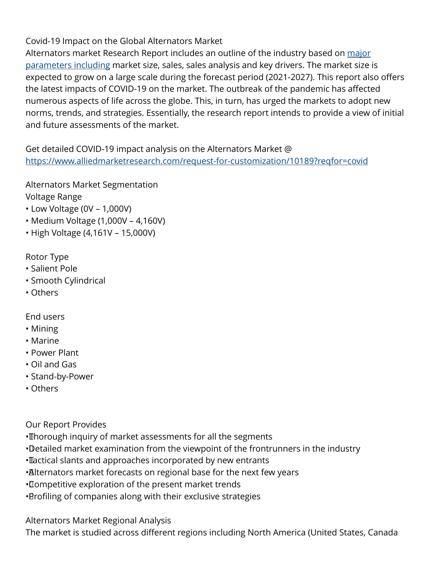Covid-19 Impact on the Global Alternators Market

Alternators market Research Report includes an outline of the industry based on [major](https://www.alliedmarketresearch.com/connect-to-analyst/10189) [parameters including](https://www.alliedmarketresearch.com/connect-to-analyst/10189) market size, sales, sales analysis and key drivers. The market size is expected to grow on a large scale during the forecast period (2021-2027). This report also offers the latest impacts of COVID-19 on the market. The outbreak of the pandemic has affected numerous aspects of life across the globe. This, in turn, has urged the markets to adopt new norms, trends, and strategies. Essentially, the research report intends to provide a view of initial and future assessments of the market.

Get detailed COVID-19 impact analysis on the Alternators Market @ <https://www.alliedmarketresearch.com/request-for-customization/10189?reqfor=covid>

Alternators Market Segmentation Voltage Range

- Low Voltage (0V 1,000V)
- Medium Voltage (1,000V 4,160V)
- High Voltage (4,161V 15,000V)

Rotor Type

- Salient Pole
- Smooth Cylindrical
- Others

End users

- Mining
- Marine
- Power Plant
- Oil and Gas
- Stand-by-Power
- Others

Our Report Provides

- • Thorough inquiry of market assessments for all the segments
- • Detailed market examination from the viewpoint of the frontrunners in the industry
- • Tactical slants and approaches incorporated by new entrants
- • Alternators market forecasts on regional base for the next few years
- • Competitive exploration of the present market trends
- • Profiling of companies along with their exclusive strategies

Alternators Market Regional Analysis

The market is studied across different regions including North America (United States, Canada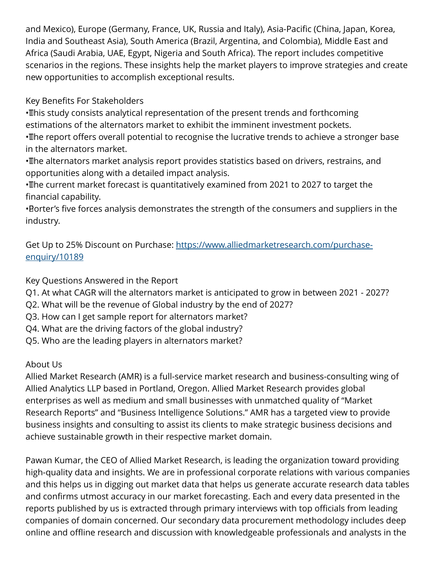and Mexico), Europe (Germany, France, UK, Russia and Italy), Asia-Pacific (China, Japan, Korea, India and Southeast Asia), South America (Brazil, Argentina, and Colombia), Middle East and Africa (Saudi Arabia, UAE, Egypt, Nigeria and South Africa). The report includes competitive scenarios in the regions. These insights help the market players to improve strategies and create new opportunities to accomplish exceptional results.

Key Benefits For Stakeholders

• This study consists analytical representation of the present trends and forthcoming estimations of the alternators market to exhibit the imminent investment pockets.

• The report offers overall potential to recognise the lucrative trends to achieve a stronger base in the alternators market.

· The alternators market analysis report provides statistics based on drivers, restrains, and opportunities along with a detailed impact analysis.

• The current market forecast is quantitatively examined from 2021 to 2027 to target the financial capability.

• Porter's five forces analysis demonstrates the strength of the consumers and suppliers in the industry.

Get Up to 25% Discount on Purchase: [https://www.alliedmarketresearch.com/purchase](https://www.alliedmarketresearch.com/purchase-enquiry/10189)[enquiry/10189](https://www.alliedmarketresearch.com/purchase-enquiry/10189)

Key Questions Answered in the Report

- Q1. At what CAGR will the alternators market is anticipated to grow in between 2021 2027?
- Q2. What will be the revenue of Global industry by the end of 2027?
- Q3. How can I get sample report for alternators market?
- Q4. What are the driving factors of the global industry?
- Q5. Who are the leading players in alternators market?

## About Us

Allied Market Research (AMR) is a full-service market research and business-consulting wing of Allied Analytics LLP based in Portland, Oregon. Allied Market Research provides global enterprises as well as medium and small businesses with unmatched quality of "Market Research Reports" and "Business Intelligence Solutions." AMR has a targeted view to provide business insights and consulting to assist its clients to make strategic business decisions and achieve sustainable growth in their respective market domain.

Pawan Kumar, the CEO of Allied Market Research, is leading the organization toward providing high-quality data and insights. We are in professional corporate relations with various companies and this helps us in digging out market data that helps us generate accurate research data tables and confirms utmost accuracy in our market forecasting. Each and every data presented in the reports published by us is extracted through primary interviews with top officials from leading companies of domain concerned. Our secondary data procurement methodology includes deep online and offline research and discussion with knowledgeable professionals and analysts in the